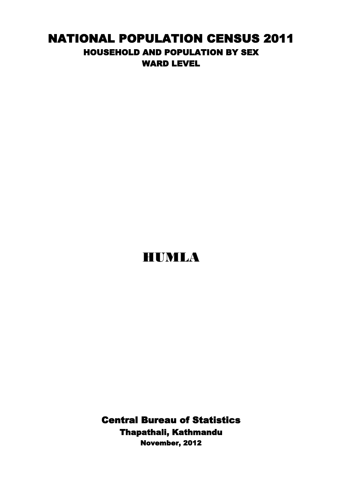## NATIONAL POPULATION CENSUS 2011 HOUSEHOLD AND POPULATION BY SEX WARD LEVEL

## HUMLA

Central Bureau of Statistics Thapathali, Kathmandu November, 2012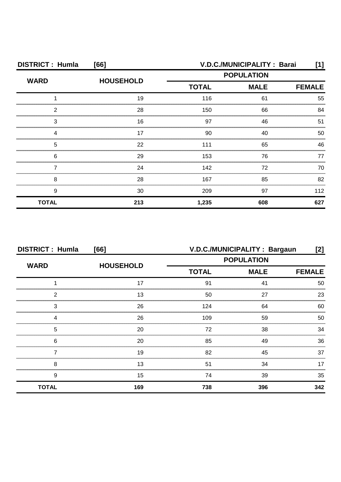| <b>DISTRICT: Humla</b><br>[66] |                  | V.D.C./MUNICIPALITY: Barai<br>[1] |             |               |
|--------------------------------|------------------|-----------------------------------|-------------|---------------|
| <b>WARD</b>                    | <b>HOUSEHOLD</b> | <b>POPULATION</b>                 |             |               |
|                                |                  | <b>TOTAL</b>                      | <b>MALE</b> | <b>FEMALE</b> |
|                                | 19               | 116                               | 61          | 55            |
| 2                              | 28               | 150                               | 66          | 84            |
| 3                              | 16               | 97                                | 46          | 51            |
|                                | 17               | 90                                | 40          | 50            |
| 5                              | 22               | 111                               | 65          | 46            |
| 6                              | 29               | 153                               | 76          | 77            |
|                                | 24               | 142                               | 72          | 70            |
| 8                              | 28               | 167                               | 85          | 82            |
| 9                              | 30               | 209                               | 97          | 112           |
| <b>TOTAL</b>                   | 213              | 1,235                             | 608         | 627           |

| <b>DISTRICT: Humla</b><br>[66] |                  | V.D.C./MUNICIPALITY: Bargaun<br>$[2]$ |                   |               |
|--------------------------------|------------------|---------------------------------------|-------------------|---------------|
| <b>WARD</b>                    |                  |                                       | <b>POPULATION</b> |               |
|                                | <b>HOUSEHOLD</b> | <b>TOTAL</b>                          | <b>MALE</b>       | <b>FEMALE</b> |
|                                | 17               | 91                                    | 41                | 50            |
| 2                              | 13               | 50                                    | 27                | 23            |
| 3                              | 26               | 124                                   | 64                | 60            |
|                                | 26               | 109                                   | 59                | 50            |
| 5                              | 20               | 72                                    | 38                | 34            |
| 6                              | 20               | 85                                    | 49                | 36            |
|                                | 19               | 82                                    | 45                | 37            |
| 8                              | 13               | 51                                    | 34                | 17            |
| 9                              | 15               | 74                                    | 39                | 35            |
| <b>TOTAL</b>                   | 169              | 738                                   | 396               | 342           |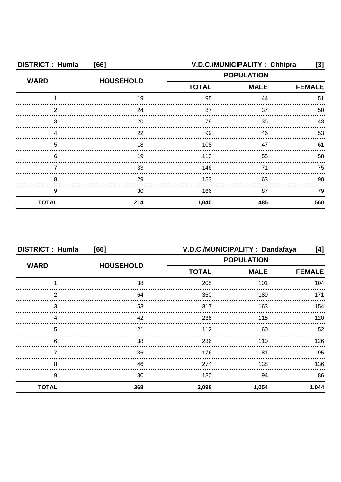| <b>DISTRICT: Humla</b><br>[66] |                  | V.D.C./MUNICIPALITY: Chhipra<br>[3] |                   |               |
|--------------------------------|------------------|-------------------------------------|-------------------|---------------|
| <b>WARD</b>                    | <b>HOUSEHOLD</b> |                                     | <b>POPULATION</b> |               |
|                                |                  | <b>TOTAL</b>                        | <b>MALE</b>       | <b>FEMALE</b> |
|                                | 19               | 95                                  | 44                | 51            |
| 2                              | 24               | 87                                  | 37                | 50            |
| З                              | 20               | 78                                  | 35                | 43            |
|                                | 22               | 99                                  | 46                | 53            |
| 5                              | 18               | 108                                 | 47                | 61            |
| 6                              | 19               | 113                                 | 55                | 58            |
|                                | 33               | 146                                 | 71                | 75            |
| 8                              | 29               | 153                                 | 63                | 90.           |
| 9                              | 30               | 166                                 | 87                | 79            |
| <b>TOTAL</b>                   | 214              | 1,045                               | 485               | 560           |

| <b>DISTRICT: Humla</b><br>[66] |                  | V.D.C./MUNICIPALITY: Dandafaya<br>[4]            |               |       |
|--------------------------------|------------------|--------------------------------------------------|---------------|-------|
| <b>WARD</b>                    |                  | <b>POPULATION</b><br><b>TOTAL</b><br><b>MALE</b> |               |       |
|                                | <b>HOUSEHOLD</b> |                                                  | <b>FEMALE</b> |       |
|                                | 38               | 205                                              | 101           | 104   |
| 2                              | 64               | 360                                              | 189           | 171   |
| 3                              | 53               | 317                                              | 163           | 154   |
| Δ                              | 42               | 238                                              | 118           | 120   |
| 5                              | 21               | 112                                              | 60            | 52    |
| 6                              | 38               | 236                                              | 110           | 126.  |
|                                | 36               | 176                                              | 81            | 95    |
| 8                              | 46               | 274                                              | 138           | 136   |
| 9                              | 30               | 180                                              | 94            | 86    |
| <b>TOTAL</b>                   | 368              | 2,098                                            | 1,054         | 1,044 |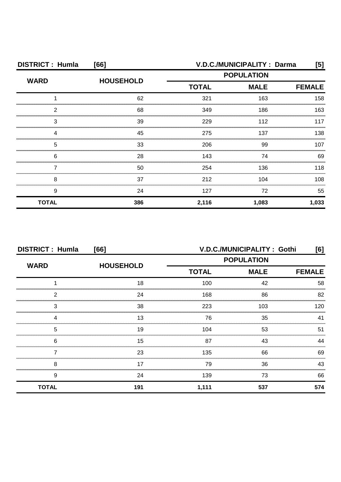| <b>DISTRICT: Humla</b> | [66]             | V.D.C./MUNICIPALITY : Darma<br>[5] |             |               |
|------------------------|------------------|------------------------------------|-------------|---------------|
| <b>WARD</b>            | <b>HOUSEHOLD</b> | <b>POPULATION</b>                  |             |               |
|                        |                  | <b>TOTAL</b>                       | <b>MALE</b> | <b>FEMALE</b> |
|                        | 62               | 321                                | 163         | 158           |
| 2                      | 68               | 349                                | 186         | 163           |
| 3                      | 39               | 229                                | 112         | 117           |
|                        | 45               | 275                                | 137         | 138           |
| 5                      | 33               | 206                                | 99          | 107           |
| 6                      | 28               | 143                                | 74          | 69            |
|                        | 50               | 254                                | 136         | 118           |
| 8                      | 37               | 212                                | 104         | 108           |
| 9                      | 24               | 127                                | 72          | 55            |
| <b>TOTAL</b>           | 386              | 2,116                              | 1,083       | 1,033         |

| <b>DISTRICT: Humla</b><br>[66] |                  | V.D.C./MUNICIPALITY: Gothi<br>[6]                |               |     |
|--------------------------------|------------------|--------------------------------------------------|---------------|-----|
| <b>WARD</b>                    |                  | <b>POPULATION</b><br><b>TOTAL</b><br><b>MALE</b> |               |     |
|                                | <b>HOUSEHOLD</b> |                                                  | <b>FEMALE</b> |     |
|                                | 18               | 100                                              | 42            | 58  |
| 2                              | 24               | 168                                              | 86            | 82  |
| 3                              | 38               | 223                                              | 103           | 120 |
|                                | 13               | 76                                               | 35            | 41  |
| 5                              | 19               | 104                                              | 53            | 51  |
| 6                              | 15<br>           | 87                                               | 43            | 44  |
|                                | 23               | 135                                              | 66            | 69  |
| 8                              | 17               | 79                                               | 36            | 43  |
| 9                              | 24               | 139                                              | 73            | 66  |
| <b>TOTAL</b>                   | 191              | 1,111                                            | 537           | 574 |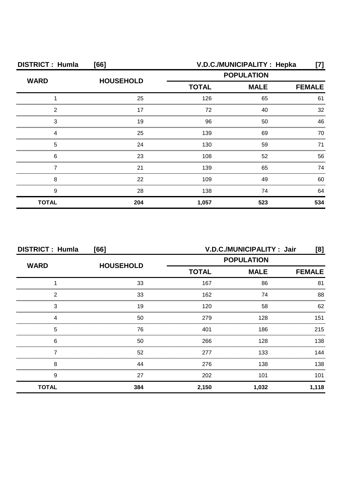| <b>DISTRICT: Humla</b><br>[66] |                  | V.D.C./MUNICIPALITY: Hepka<br>[7] |                   |               |
|--------------------------------|------------------|-----------------------------------|-------------------|---------------|
| <b>WARD</b>                    |                  |                                   | <b>POPULATION</b> |               |
|                                | <b>HOUSEHOLD</b> | <b>TOTAL</b>                      | <b>MALE</b>       | <b>FEMALE</b> |
|                                | 25               | 126                               | 65                | 61            |
| ◠                              | 17               | 72                                | 40                | 32            |
| З                              | 19               | 96                                | 50                | 46            |
|                                | 25               | 139                               | 69                | 70            |
| 5                              | 24               | 130                               | 59                | 71            |
| 6                              | 23               | 108                               | 52                | 56            |
|                                | 21               | 139                               | 65                | 74            |
| 8                              | 22               | 109                               | 49                | 60            |
| 9                              | 28               | 138                               | 74                | 64            |
| <b>TOTAL</b>                   | 204              | 1,057                             | 523               | 534           |

| <b>DISTRICT: Humla</b><br>[66] |                  | V.D.C./MUNICIPALITY: Jair<br>[8] |             |               |  |
|--------------------------------|------------------|----------------------------------|-------------|---------------|--|
| <b>WARD</b>                    |                  | <b>POPULATION</b>                |             |               |  |
|                                | <b>HOUSEHOLD</b> | <b>TOTAL</b>                     | <b>MALE</b> | <b>FEMALE</b> |  |
|                                | 33               | 167                              | 86          | 81            |  |
| っ                              | 33               | 162                              | 74          | 88            |  |
| 3                              | 19               | 120                              | 58          | 62            |  |
|                                | 50               | 279                              | 128         | 151           |  |
| 5                              | 76               | 401                              | 186         | 215           |  |
| 6                              | 50               | 266                              | 128         | 138           |  |
|                                | 52               | 277                              | 133         | 144           |  |
| 8                              | 44               | 276                              | 138         | 138           |  |
| 9                              | 27               | 202                              | 101         | 101           |  |
| <b>TOTAL</b>                   | 384              | 2,150                            | 1,032       | 1,118         |  |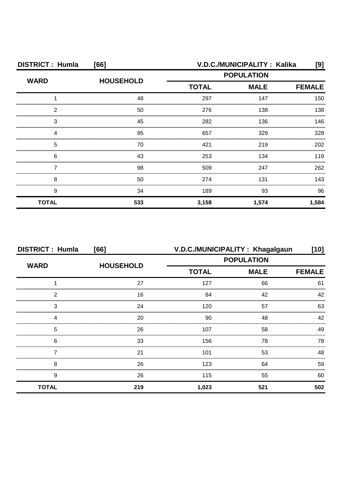| <b>DISTRICT: Humla</b> | [66]             | V.D.C./MUNICIPALITY: Kalika<br>[9] |                   |               |
|------------------------|------------------|------------------------------------|-------------------|---------------|
| <b>WARD</b>            | <b>HOUSEHOLD</b> |                                    | <b>POPULATION</b> |               |
|                        |                  | <b>TOTAL</b>                       | <b>MALE</b>       | <b>FEMALE</b> |
|                        | 48               | 297                                | 147               | 150           |
| ົ                      | 50               | 276                                | 138               | 138           |
| З                      | 45               | 282                                | 136               | 146           |
|                        | 95               | 657                                | 329               | 328           |
| 5                      | 70               | 421                                | 219               | 202           |
| 6                      | 43               | 253                                | 134               | 119           |
|                        | 98               | 509                                | 247               | 262           |
| 8                      | 50               | 274                                | 131               | 143           |
| 9                      | 34               | 189                                | 93                | 96            |
| <b>TOTAL</b>           | 533              | 3,158                              | 1,574             | 1,584         |

| <b>DISTRICT: Humla</b><br>[66] |                  | V.D.C./MUNICIPALITY: Khagalgaun<br>[10] |                   |               |
|--------------------------------|------------------|-----------------------------------------|-------------------|---------------|
| <b>WARD</b>                    |                  |                                         | <b>POPULATION</b> |               |
|                                | <b>HOUSEHOLD</b> | <b>TOTAL</b>                            | <b>MALE</b>       | <b>FEMALE</b> |
|                                | 27               | 127                                     | 66                | 61            |
| 2                              | 16               | 84                                      | 42                | 42            |
| 3                              | 24               | 120                                     | 57                | 63            |
|                                | 20               | 90                                      | 48                | 42            |
| 5                              | 26               | 107                                     | 58                | 49            |
| 6                              | 33               | 156                                     | 78                | 78            |
|                                | 21               | 101                                     | 53                | 48            |
| 8                              | 26               | 123                                     | 64                | 59            |
| 9                              | 26               | 115                                     | 55                | 60            |
| <b>TOTAL</b>                   | 219              | 1,023                                   | 521               | 502           |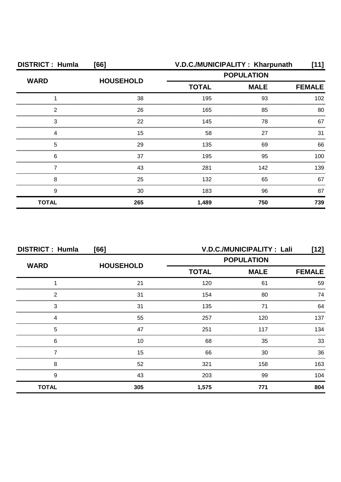| <b>DISTRICT: Humla</b> | [66]             |              | V.D.C./MUNICIPALITY: Kharpunath | [11]          |
|------------------------|------------------|--------------|---------------------------------|---------------|
| <b>WARD</b>            | <b>HOUSEHOLD</b> |              | <b>POPULATION</b>               |               |
|                        |                  | <b>TOTAL</b> | <b>MALE</b>                     | <b>FEMALE</b> |
|                        | 38               | 195          | 93                              | 102           |
| ົ                      | 26               | 165          | 85                              | 80            |
| 3                      | 22               | 145          | 78                              | 67            |
|                        | 15               | 58           | 27                              | 31            |
| 5                      | 29               | 135          | 69                              | 66            |
| 6                      | 37               | 195          | 95                              | 100           |
|                        | 43               | 281          | 142                             | 139           |
| 8                      | 25               | 132          | 65                              | 67            |
| 9                      | 30               | 183          | 96                              | 87            |
| <b>TOTAL</b>           | 265              | 1,489        | 750                             | 739           |

| <b>DISTRICT: Humla</b><br>[66] |                  | V.D.C./MUNICIPALITY: Lali<br>[12] |                   |               |
|--------------------------------|------------------|-----------------------------------|-------------------|---------------|
| <b>WARD</b>                    | <b>HOUSEHOLD</b> |                                   | <b>POPULATION</b> |               |
|                                |                  | <b>TOTAL</b>                      | <b>MALE</b>       | <b>FEMALE</b> |
|                                | 21               | 120                               | 61                | 59            |
| 2                              | 31               | 154                               | 80                | 74            |
| 3                              | 31               | 135                               | 71                | 64            |
|                                | 55               | 257                               | 120               | 137           |
| 5                              | 47               | 251                               | 117               | 134           |
| 6                              | 10               | 68                                | 35                | 33            |
|                                | 15               | 66                                | 30                | 36            |
| 8                              | 52               | 321                               | 158               | 163           |
| 9                              | 43               | 203                               | 99                | 104           |
| <b>TOTAL</b>                   | 305              | 1,575                             | 771               | 804           |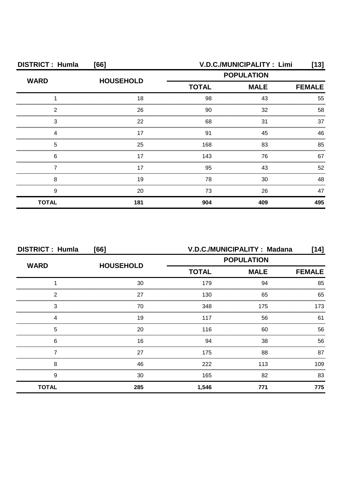| <b>DISTRICT: Humla</b><br>[66] |                  |                   | V.D.C./MUNICIPALITY: Limi | [13]          |
|--------------------------------|------------------|-------------------|---------------------------|---------------|
| <b>WARD</b>                    | <b>HOUSEHOLD</b> | <b>POPULATION</b> |                           |               |
|                                |                  | <b>TOTAL</b>      | <b>MALE</b>               | <b>FEMALE</b> |
|                                | 18               | 98                | 43                        | 55            |
| 2                              | 26               | 90                | 32                        | 58            |
| 3                              | 22               | 68                | 31                        | 37            |
|                                | 17               | 91                | 45                        | 46            |
| 5                              | 25               | 168               | 83                        | 85            |
| 6                              | 17               | 143               | 76                        | 67            |
|                                | 17               | 95                | 43                        | 52            |
| 8                              | 19               | 78                | 30                        | 48            |
| 9                              | 20               | 73                | 26                        | 47            |
| <b>TOTAL</b>                   | 181              | 904               | 409                       | 495           |

| <b>DISTRICT: Humla</b><br>[66] |                  | V.D.C./MUNICIPALITY: Madana<br>[14] |             |               |
|--------------------------------|------------------|-------------------------------------|-------------|---------------|
| <b>WARD</b>                    |                  | <b>POPULATION</b>                   |             |               |
|                                | <b>HOUSEHOLD</b> | <b>TOTAL</b>                        | <b>MALE</b> | <b>FEMALE</b> |
|                                | 30               | 179                                 | 94          | 85            |
| 2                              | 27               | 130                                 | 65          | 65            |
| 3                              | 70               | 348                                 | 175         | 173           |
| 4                              | 19               | 117                                 | 56          | 61            |
| 5                              | 20               | 116                                 | 60          | 56            |
| 6                              | 16               | 94                                  | 38          | 56            |
|                                | 27               | 175                                 | 88          | 87            |
| 8                              | 46               | 222                                 | 113         | 109           |
| 9                              | 30               | 165                                 | 82          | 83            |
| <b>TOTAL</b>                   | 285              | 1,546                               | 771         | 775           |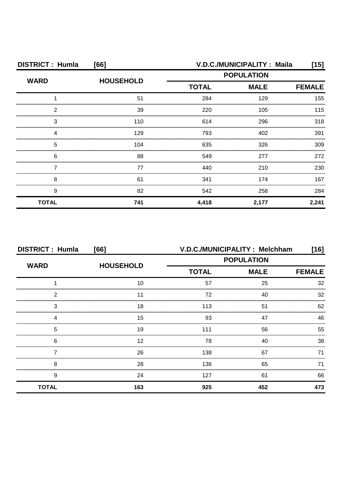| <b>DISTRICT: Humla</b><br>[66] |                  |                   | V.D.C./MUNICIPALITY: Maila | [15]  |
|--------------------------------|------------------|-------------------|----------------------------|-------|
| <b>WARD</b>                    | <b>HOUSEHOLD</b> | <b>POPULATION</b> |                            |       |
|                                |                  | <b>TOTAL</b>      | <b>MALE</b>                |       |
|                                | 51               | 284               | 129                        | 155   |
| っ                              | 39               | 220               | 105                        | 115   |
| 3                              | 110              | 614               | 296                        | 318   |
|                                | 129              | 793               | 402                        | 391   |
| 5                              | 104              | 635               | 326                        | 309   |
| 6                              | 88               | 549               | 277                        | 272   |
|                                | 77               | 440               | 210                        | 230   |
| 8                              | 61               | 341               | 174                        | 167   |
| 9                              | 82               | 542               | 258                        | 284   |
| <b>TOTAL</b>                   | 741              | 4,418             | 2,177                      | 2,241 |

| <b>DISTRICT: Humla</b><br>[66] |                  | V.D.C./MUNICIPALITY: Melchham<br>$[16]$ |             |               |
|--------------------------------|------------------|-----------------------------------------|-------------|---------------|
| <b>WARD</b>                    |                  | <b>POPULATION</b>                       |             |               |
|                                | <b>HOUSEHOLD</b> | <b>TOTAL</b>                            | <b>MALE</b> | <b>FEMALE</b> |
|                                | 10               | 57                                      | 25          | 32            |
| 2                              |                  | 72                                      | 40          | 32            |
| 3                              | 18               | 113                                     | 51          | 62            |
| Δ                              | 15               | 93                                      | 47          | 46            |
| 5                              | 19               | 111                                     | 56          | 55            |
| 6                              | 12               | 78                                      | 40          | 38            |
|                                | 26               | 138                                     | 67          | 71            |
| 8                              | 28               | 136                                     | 65          | 71            |
| 9                              | 24               | 127                                     | 61          | 66            |
| <b>TOTAL</b>                   | 163              | 925                                     | 452         | 473           |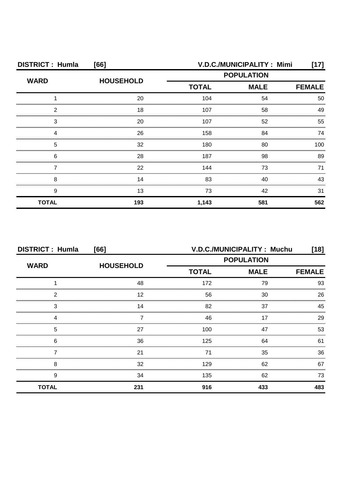| <b>DISTRICT: Humla</b><br>[66] |                  |                   | V.D.C./MUNICIPALITY: Mimi | [17]          |
|--------------------------------|------------------|-------------------|---------------------------|---------------|
| <b>WARD</b>                    | <b>HOUSEHOLD</b> | <b>POPULATION</b> |                           |               |
|                                |                  | <b>TOTAL</b>      | <b>MALE</b>               | <b>FEMALE</b> |
|                                | 20               | 104               | 54                        | 50            |
| ົ                              | 18               | 107               | 58                        | 49            |
| З                              | 20               | 107               | 52                        | 55            |
|                                | 26               | 158               | 84                        | 74            |
| 5                              | 32               | 180               | 80                        | 100           |
| 6                              | 28               | 187               | 98                        | 89            |
|                                | 22               | 144               | 73                        | 71            |
| 8                              | 14               | 83                | 40                        | 43            |
| 9                              | 13               | 73                | 42                        | 31            |
| <b>TOTAL</b>                   | 193              | 1,143             | 581                       | 562           |

| <b>DISTRICT: Humla</b><br>[66] |                  | V.D.C./MUNICIPALITY: Muchu<br>[18] |             |               |
|--------------------------------|------------------|------------------------------------|-------------|---------------|
| <b>WARD</b>                    | <b>HOUSEHOLD</b> | <b>POPULATION</b>                  |             |               |
|                                |                  | <b>TOTAL</b>                       | <b>MALE</b> | <b>FEMALE</b> |
|                                | 48               | 172                                | 79          | 93            |
| າ                              | 12               | 56                                 | 30          | 26            |
| 3                              | 14               | 82                                 | 37          | 45            |
|                                |                  | 46                                 | 17          | 29            |
| 5                              | 27               | 100                                | 47          | 53            |
| 6                              | 36               | 125                                | 64          | 61            |
|                                | 21               | 71                                 | 35          | 36            |
| 8                              | 32               | 129                                | 62          | 67            |
| 9                              | 34               | 135                                | 62          | 73            |
| <b>TOTAL</b>                   | 231              | 916                                | 433         | 483           |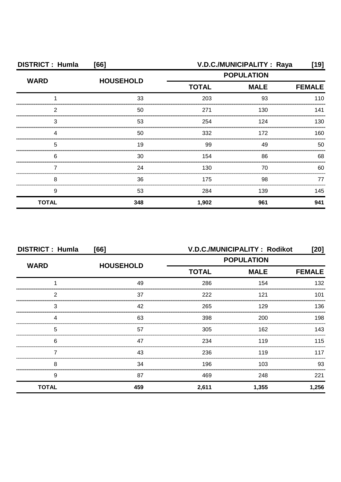| <b>DISTRICT: Humla</b><br>[66] |                  | V.D.C./MUNICIPALITY : Raya<br>[19] |                   |               |
|--------------------------------|------------------|------------------------------------|-------------------|---------------|
| <b>WARD</b>                    | <b>HOUSEHOLD</b> |                                    | <b>POPULATION</b> |               |
|                                |                  | <b>TOTAL</b>                       | <b>MALE</b>       | <b>FEMALE</b> |
|                                | 33               | 203                                | 93                | 110           |
| 2                              | 50               | 271                                | 130               | 141           |
| 3                              | 53               | 254                                | 124               | 130           |
|                                | 50               | 332                                | 172               | 160           |
| 5                              | 19               | 99                                 | 49                | 50            |
| 6                              | 30               | 154                                | 86                | 68            |
|                                | 24               | 130                                | 70                | 60            |
| 8                              | 36               | 175                                | 98                | 77            |
| 9                              | 53               | 284                                | 139               | 145           |
| <b>TOTAL</b>                   | 348              | 1,902                              | 961               | 941           |

| <b>DISTRICT: Humla</b><br>[66] |                  | V.D.C./MUNICIPALITY: Rodikot<br>[20] |               |       |
|--------------------------------|------------------|--------------------------------------|---------------|-------|
| <b>WARD</b>                    | <b>HOUSEHOLD</b> | <b>POPULATION</b>                    |               |       |
|                                |                  | <b>TOTAL</b>                         | <b>FEMALE</b> |       |
|                                | 49               | 286                                  | 154           | 132   |
| 2                              | 37               | 222                                  | 121           | 101   |
| 3                              | 42               | 265                                  | 129           | 136   |
|                                | 63               | 398                                  | 200           | 198   |
| 5                              | 57               | 305                                  | 162           | 143   |
| 6                              | 47               | 234                                  | 119           | 115   |
|                                | 43               | 236                                  | 119           | 117   |
| 8                              | 34               | 196                                  | 103           | 93    |
| 9                              | 87               | 469                                  | 248           | 221   |
| <b>TOTAL</b>                   | 459              | 2,611                                | 1,355         | 1,256 |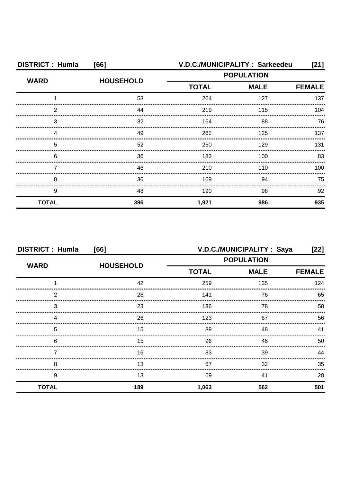| <b>DISTRICT: Humla</b><br>[66] |                  | V.D.C./MUNICIPALITY: Sarkeedeu<br>[21] |             |               |
|--------------------------------|------------------|----------------------------------------|-------------|---------------|
| <b>WARD</b>                    | <b>HOUSEHOLD</b> | <b>POPULATION</b>                      |             |               |
|                                |                  | <b>TOTAL</b>                           | <b>MALE</b> | <b>FEMALE</b> |
|                                | 53               | 264                                    | 127         | 137           |
| 2                              | 44               | 219                                    | 115         | 104           |
| 3                              | 32               | 164                                    | 88          | 76            |
|                                | 49               | 262                                    | 125         | 137           |
| 5                              | 52               | 260                                    | 129         | 131           |
| 6                              | 36               | 183                                    | 100         | 83            |
|                                | 46               | 210                                    | 110         | 100           |
| 8                              | 36               | 169                                    | 94          | 75            |
| 9                              | 48               | 190                                    | 98          | 92            |
| <b>TOTAL</b>                   | 396              | 1,921                                  | 986         | 935           |

| <b>DISTRICT: Humla</b><br>[66] |                  |                   | V.D.C./MUNICIPALITY : Saya | [22]          |
|--------------------------------|------------------|-------------------|----------------------------|---------------|
| <b>WARD</b>                    | <b>HOUSEHOLD</b> | <b>POPULATION</b> |                            |               |
|                                |                  | <b>TOTAL</b>      | <b>MALE</b>                | <b>FEMALE</b> |
|                                | 42               | 259               | 135                        | 124           |
| っ                              | 26               | 141               | 76                         | 65            |
| 3                              | 23               | 136               | 78                         | 58            |
|                                | 26               | 123               | 67                         | 56            |
| 5                              | 15               | 89                | 48                         | 41            |
| 6                              | 15               | 96                | 46                         | 50            |
|                                | 16               | 83                | 39                         | ΔΔ            |
| 8                              | 13               | 67                | 32                         | 35            |
| 9                              | 13               | 69                | 41                         | 28            |
| <b>TOTAL</b>                   | 189              | 1,063             | 562                        | 501           |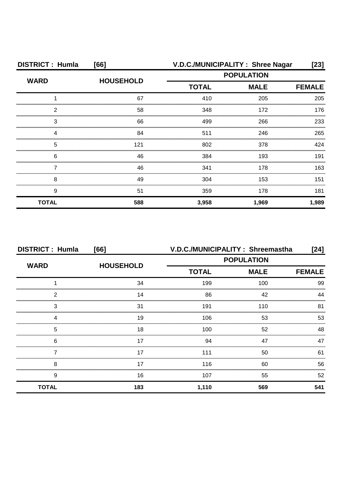| <b>DISTRICT: Humla</b><br>[66] |                  | V.D.C./MUNICIPALITY: Shree Nagar |             | $[23]$        |
|--------------------------------|------------------|----------------------------------|-------------|---------------|
| <b>WARD</b>                    | <b>HOUSEHOLD</b> | <b>POPULATION</b>                |             |               |
|                                |                  | <b>TOTAL</b>                     | <b>MALE</b> | <b>FEMALE</b> |
|                                | 67               | 410                              | 205         | 205           |
| 2                              | 58               | 348                              | 172         | 176           |
| З                              | 66               | 499                              | 266         | 233           |
| Δ                              | 84               | 511                              | 246         | 265           |
| 5                              | 121              | 802                              | 378         | 424           |
| 6                              | 46               | 384                              | 193         | 191           |
|                                | 46               | 341                              | 178         | 163           |
| 8                              | 49               | 304                              | 153         | 151           |
| 9                              | 51               | 359                              | 178         | 181           |
| <b>TOTAL</b>                   | 588              | 3,958                            | 1,969       | 1,989         |

| <b>DISTRICT: Humla</b> | [66]             | V.D.C./MUNICIPALITY: Shreemastha |                   | $[24]$        |
|------------------------|------------------|----------------------------------|-------------------|---------------|
| <b>WARD</b>            |                  |                                  | <b>POPULATION</b> |               |
|                        | <b>HOUSEHOLD</b> | <b>TOTAL</b>                     | <b>MALE</b>       | <b>FEMALE</b> |
|                        | 34               | 199                              | 100               | 99            |
| 2                      | 14               | 86                               | 42                | 44            |
| 3                      | 31               | 191                              | 110               | 81            |
| Δ                      | 19               | 106                              | 53                | 53            |
| 5                      | 18               | 100                              | 52                | 48            |
| 6                      | 17               | 94                               | 47                | 47            |
|                        | 17               | 111                              | 50                | 61            |
| 8                      | 17               | 116                              | 60                | 56            |
| 9                      | 16               | 107                              | 55                | 52            |
| <b>TOTAL</b>           | 183              | 1,110                            | 569               | 541           |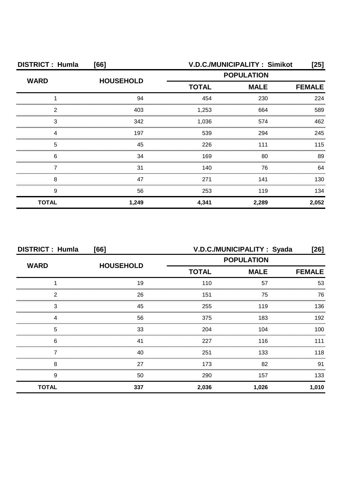| <b>DISTRICT: Humla</b><br>[66] |                  | V.D.C./MUNICIPALITY: Simikot<br>[25] |             |               |
|--------------------------------|------------------|--------------------------------------|-------------|---------------|
| <b>WARD</b>                    |                  | <b>POPULATION</b>                    |             |               |
|                                | <b>HOUSEHOLD</b> | <b>TOTAL</b>                         | <b>MALE</b> | <b>FEMALE</b> |
|                                | 94               | 454                                  | 230         | 224           |
| 2                              | 403              | 1,253                                | 664         | 589           |
| 3                              | 342              | 1,036                                | 574         | 462           |
|                                | 197              | 539                                  | 294         | 245           |
| 5                              | 45               | 226                                  | 111         | 115           |
| 6                              | 34               | 169                                  | 80          | 89            |
|                                | 31               | 140                                  | 76          | 64            |
| 8                              | 47               | 271                                  | 141         | 130           |
| 9                              | 56               | 253                                  | 119         | 134           |
| <b>TOTAL</b>                   | 1,249            | 4,341                                | 2,289       | 2,052         |

| <b>DISTRICT: Humla</b><br>[66] |                  | V.D.C./MUNICIPALITY: Syada<br>$[26]$ |             |               |
|--------------------------------|------------------|--------------------------------------|-------------|---------------|
| <b>WARD</b>                    |                  | <b>POPULATION</b>                    |             |               |
|                                | <b>HOUSEHOLD</b> | <b>TOTAL</b>                         | <b>MALE</b> | <b>FEMALE</b> |
|                                | 19               | 110                                  | 57          | 53            |
| 2                              | 26               | 151                                  | 75          | 76            |
| 3                              | 45               | 255                                  | 119         | 136           |
| 4                              | 56               | 375                                  | 183         | 192           |
| 5                              | 33               | 204                                  | 104         | 100           |
| 6                              | 41               | 227                                  | 116         | 111           |
|                                | 40               | 251                                  | 133         | 118           |
| 8                              | 27               | 173                                  | 82          | 91            |
| 9                              | 50               | 290                                  | 157         | 133           |
| <b>TOTAL</b>                   | 337              | 2,036                                | 1,026       | 1,010         |